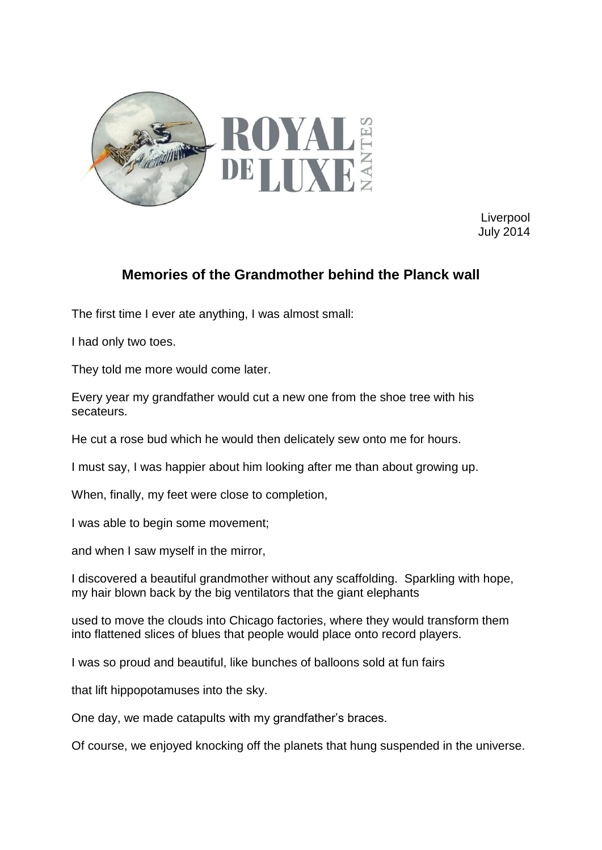

**Liverpool** July 2014

## **Memories of the Grandmother behind the Planck wall**

The first time I ever ate anything, I was almost small:

I had only two toes.

They told me more would come later.

Every year my grandfather would cut a new one from the shoe tree with his secateurs.

He cut a rose bud which he would then delicately sew onto me for hours.

I must say, I was happier about him looking after me than about growing up.

When, finally, my feet were close to completion,

I was able to begin some movement;

and when I saw myself in the mirror,

I discovered a beautiful grandmother without any scaffolding. Sparkling with hope, my hair blown back by the big ventilators that the giant elephants

used to move the clouds into Chicago factories, where they would transform them into flattened slices of blues that people would place onto record players.

I was so proud and beautiful, like bunches of balloons sold at fun fairs

that lift hippopotamuses into the sky.

One day, we made catapults with my grandfather's braces.

Of course, we enjoyed knocking off the planets that hung suspended in the universe.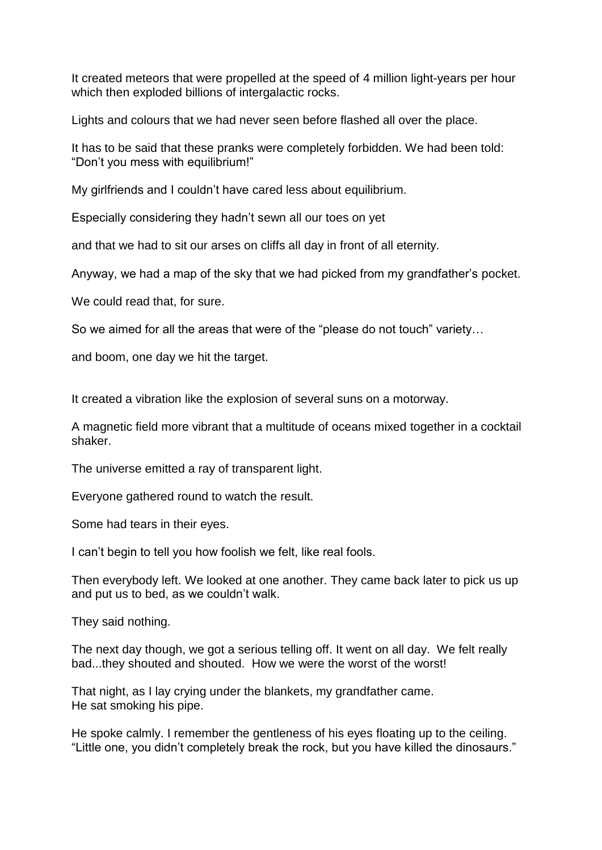It created meteors that were propelled at the speed of 4 million light-years per hour which then exploded billions of intergalactic rocks.

Lights and colours that we had never seen before flashed all over the place.

It has to be said that these pranks were completely forbidden. We had been told: "Don't you mess with equilibrium!"

My girlfriends and I couldn't have cared less about equilibrium.

Especially considering they hadn't sewn all our toes on yet

and that we had to sit our arses on cliffs all day in front of all eternity.

Anyway, we had a map of the sky that we had picked from my grandfather's pocket.

We could read that, for sure.

So we aimed for all the areas that were of the "please do not touch" variety…

and boom, one day we hit the target.

It created a vibration like the explosion of several suns on a motorway.

A magnetic field more vibrant that a multitude of oceans mixed together in a cocktail shaker.

The universe emitted a ray of transparent light.

Everyone gathered round to watch the result.

Some had tears in their eyes.

I can't begin to tell you how foolish we felt, like real fools.

Then everybody left. We looked at one another. They came back later to pick us up and put us to bed, as we couldn't walk.

They said nothing.

The next day though, we got a serious telling off. It went on all day. We felt really bad...they shouted and shouted. How we were the worst of the worst!

That night, as I lay crying under the blankets, my grandfather came. He sat smoking his pipe.

He spoke calmly. I remember the gentleness of his eyes floating up to the ceiling. "Little one, you didn't completely break the rock, but you have killed the dinosaurs."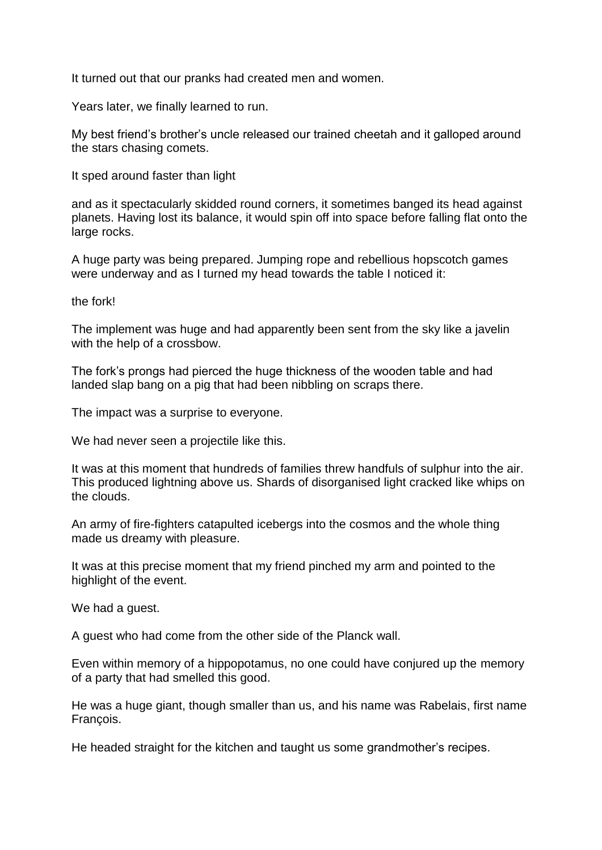It turned out that our pranks had created men and women.

Years later, we finally learned to run.

My best friend's brother's uncle released our trained cheetah and it galloped around the stars chasing comets.

It sped around faster than light

and as it spectacularly skidded round corners, it sometimes banged its head against planets. Having lost its balance, it would spin off into space before falling flat onto the large rocks.

A huge party was being prepared. Jumping rope and rebellious hopscotch games were underway and as I turned my head towards the table I noticed it:

the fork!

The implement was huge and had apparently been sent from the sky like a javelin with the help of a crossbow.

The fork's prongs had pierced the huge thickness of the wooden table and had landed slap bang on a pig that had been nibbling on scraps there.

The impact was a surprise to everyone.

We had never seen a projectile like this.

It was at this moment that hundreds of families threw handfuls of sulphur into the air. This produced lightning above us. Shards of disorganised light cracked like whips on the clouds.

An army of fire-fighters catapulted icebergs into the cosmos and the whole thing made us dreamy with pleasure.

It was at this precise moment that my friend pinched my arm and pointed to the highlight of the event.

We had a guest.

A guest who had come from the other side of the Planck wall.

Even within memory of a hippopotamus, no one could have conjured up the memory of a party that had smelled this good.

He was a huge giant, though smaller than us, and his name was Rabelais, first name François.

He headed straight for the kitchen and taught us some grandmother's recipes.